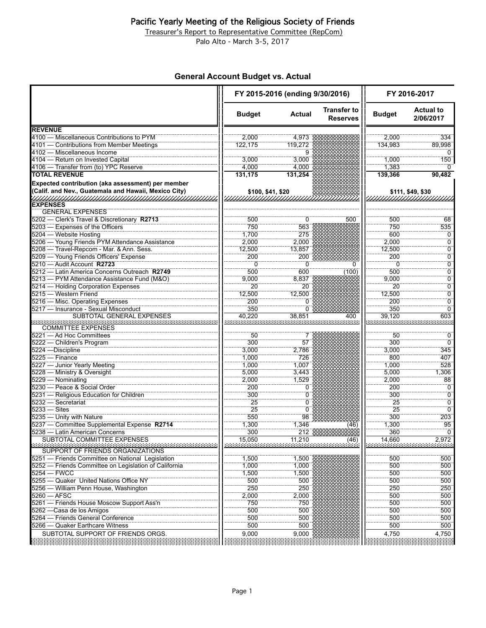Treasurer's Report to Representative Committee (RepCom)

Palo Alto - March 3-5, 2017

### **General Account Budget vs. Actual**

|                                                                                                           | FY 2015-2016 (ending 9/30/2016) |                |                                       | FY 2016-2017  |                                  |
|-----------------------------------------------------------------------------------------------------------|---------------------------------|----------------|---------------------------------------|---------------|----------------------------------|
|                                                                                                           | <b>Budget</b>                   | <b>Actual</b>  | <b>Transfer to</b><br><b>Reserves</b> | <b>Budget</b> | <b>Actual to</b><br>2/06/2017    |
| <b>REVENUE</b>                                                                                            |                                 |                |                                       |               |                                  |
| 4100 - Miscellaneous Contributions to PYM                                                                 | 2,000                           | 4,973          |                                       | 2,000         | 334                              |
| 4101 - Contributions from Member Meetings                                                                 | 122,175                         | 119,272        |                                       | 134,983       | 89,998                           |
| 4102 - Miscellaneous Income                                                                               |                                 | 9              |                                       |               | $\Omega$                         |
| 4104 - Return on Invested Capital                                                                         | 3,000                           | 3,000          |                                       | 1,000         | 150                              |
| 4106 - Transfer from (to) YPC Reserve<br><b>TOTAL REVENUE</b>                                             | 4,000                           | 4,000          |                                       | 1,383         | $\Omega$                         |
|                                                                                                           | 131,175                         | 131,254        |                                       | 139,366       | 90,482                           |
| Expected contribution (aka assessment) per member<br>(Calif. and Nev., Guatemala and Hawaii, Mexico City) | \$100, \$41, \$20               |                |                                       |               | \$111, \$49, \$30                |
| <b>EXPENSES</b>                                                                                           |                                 |                |                                       |               |                                  |
| <b>GENERAL EXPENSES</b>                                                                                   |                                 |                |                                       |               |                                  |
| 5202 - Clerk's Travel & Discretionary R2713                                                               | 500                             | 0              | 500                                   | 500           | 68                               |
| 5203 - Expenses of the Officers                                                                           | 750                             | 563            |                                       | 750           | 535                              |
| 5204 - Website Hosting                                                                                    | 1,700                           | 275            |                                       | 600           | 0                                |
| 5206 - Young Friends PYM Attendance Assistance                                                            | 2.000                           | 2,000          |                                       | 2.000         | $\overline{0}$                   |
| 5208 - Travel-Repcom - Mar. & Ann. Sess.                                                                  | 12,500                          | 13,857         |                                       | 12,500        | Ö                                |
| 5209 - Young Friends Officers' Expense                                                                    | 200                             | 200            |                                       | 200           | 0                                |
| 5210 - Audit Account R2723                                                                                | ö                               | Ő              |                                       | Ö             | Ö                                |
| 5212 - Latin America Concerns Outreach R2749                                                              | 500                             | 600            | (100)                                 | 500           | ö                                |
| 5213 - PYM Attendance Assistance Fund (M&O)                                                               | 9,000                           | 8,837          |                                       | 9,000         | $\overline{0}$                   |
| 5214 - Holding Corporation Expenses                                                                       | 20                              | 20             |                                       | 20            | Ö                                |
| 5215 - Western Friend                                                                                     | 12,500                          | 12.500         |                                       | 12,500        | $\overline{0}$<br>$\overline{0}$ |
| 5216 - Misc. Operating Expenses                                                                           | 200                             | 0<br>0         |                                       | 200           | Ö                                |
| 5217 - Insurance - Sexual Misconduct<br><b>SUBTOTAL GENERAL EXPENSES</b>                                  | 350<br>40.220                   | 38,851         | 400                                   | 350<br>39,120 | 603                              |
| <b>COMMITTEE EXPENSES</b>                                                                                 |                                 |                |                                       |               |                                  |
| 5221 - Ad Hoc Committees                                                                                  | 50                              |                |                                       | 50            | $\Omega$                         |
| 5222 - Children's Program                                                                                 | 300                             | 57             |                                       | 300           | $\overline{0}$                   |
| 5224 - Discipline                                                                                         | 3,000                           | 2,786          |                                       | 3,000         | 345                              |
| 5225 - Finance                                                                                            | 1,000                           | 726            |                                       | 800           | 407                              |
| 5227 - Junior Yearly Meeting                                                                              | 1.000                           | 1.007          |                                       | 1.000         | 528                              |
| 5228 - Ministry & Oversight<br>5229 - Nominating                                                          | 5,000<br>2,000                  | 3,443<br>1,529 |                                       | 5,000         | 1,306                            |
| 5230 - Peace & Social Order                                                                               | 200                             | 0              |                                       | 2,000<br>200  | 88<br>Ö                          |
| 5231 - Religious Education for Children                                                                   | 300                             | 0              |                                       | 300           | $\overline{0}$                   |
| 5232 - Secretariat                                                                                        | $\overline{25}$                 | ö              |                                       | 25            | Ö                                |
| $5233 - Sites$                                                                                            | 25                              | Ö              |                                       | 25            | Ö                                |
| 5235 - Unity with Nature                                                                                  | 550                             | 98             |                                       | 300           | 203                              |
| 5237 - Committee Supplemental Expense R2714                                                               | 1,300                           | 1,346          | (46                                   | 1,300         | 95                               |
| 5238 - Latin American Concerns                                                                            | 300                             | $212\%$        |                                       | 360           | $\mathbf 0$                      |
| SUBTOTAL COMMITTEE EXPENSES                                                                               | 15,050                          | 11,210         | $(46)$                                | 14.660        | 2,972                            |
| SUPPORT OF FRIENDS ORGANIZATIONS                                                                          |                                 |                |                                       |               |                                  |
| 5251 - Friends Committee on National Legislation                                                          | 1,500                           | 1,500          |                                       | 500           | 500                              |
| 5252 - Friends Committee on Legislation of California                                                     | 1,000                           | 7,000          |                                       | 500           | 500                              |
| $5254 - FWCC$                                                                                             | 1,500                           | 1,500          |                                       | 500           | 500                              |
| 5255 - Quaker United Nations Office NY                                                                    | 500                             | 500            |                                       | 500           | 500                              |
| 5256 - William Penn House, Washington                                                                     | 250                             | 250            |                                       | 250           | 250                              |
| 5260 - AFSC                                                                                               | 2,000                           | 2,000          |                                       | 500           | 500                              |
| 5261 - Friends House Moscow Support Ass'n                                                                 | 750                             | 750            |                                       | 500           | 500                              |
| 5262 - Casa de los Amigos                                                                                 | 500                             | 500            |                                       | 500           | 500                              |
| - Friends General Conference<br>5264                                                                      | 500                             | 500            |                                       | 500           | 500                              |
| 5266 - Quaker Earthcare Witness                                                                           | 500                             | 500            |                                       | 500           | 500                              |
| SUBTOTAL SUPPORT OF FRIENDS ORGS.                                                                         | 9,000                           | 9,000          |                                       | 4,750         | 4,750                            |
|                                                                                                           |                                 |                |                                       |               |                                  |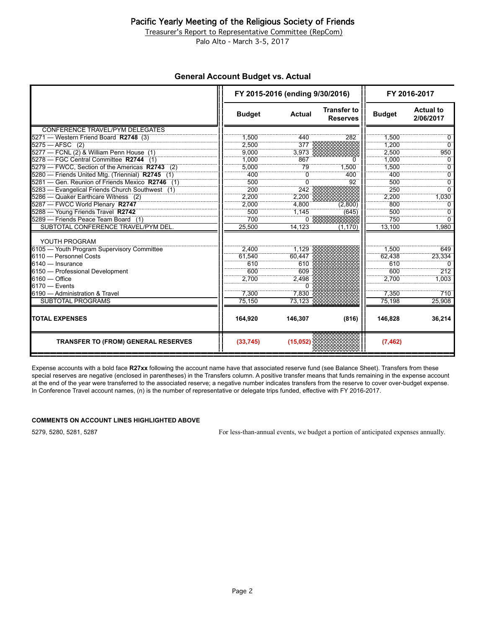### Pacific Yearly Meeting of the Religious Society of Friends

Treasurer's Report to Representative Committee (RepCom)

Palo Alto - March 3-5, 2017

### **General Account Budget vs. Actual**

|                                                  | FY 2015-2016 (ending 9/30/2016) |               | FY 2016-2017                          |               |                               |
|--------------------------------------------------|---------------------------------|---------------|---------------------------------------|---------------|-------------------------------|
|                                                  | <b>Budget</b>                   | <b>Actual</b> | <b>Transfer to</b><br><b>Reserves</b> | <b>Budget</b> | <b>Actual to</b><br>2/06/2017 |
| CONFERENCE TRAVEL/PYM DELEGATES                  |                                 |               |                                       |               |                               |
| 5271 - Western Friend Board R2748 (3)            | 1.500                           | 440           | 282                                   | 1.500         | 0                             |
| $5275 - AFSC$ (2)                                | 2,500                           | $377\%$       |                                       | 1,200         | $\overline{0}$                |
| 5277 - FCNL (2) & William Penn House (1)         | 9.000                           | 3,973         |                                       | 2.500         | 950                           |
| 5278 - FGC Central Committee R2744 (1)           | 1.000                           | 867           | n                                     | 1.000         | 0                             |
| 5279 - FWCC. Section of the Americas R2743 (2)   | 5.000                           | 79            | 1.500                                 | 1.500         | $\overline{0}$                |
| 5280 - Friends United Mtg. (Triennial) R2745 (1) | 400                             | $\Omega$      | 400                                   | 400           | ö                             |
| 5281 – Gen. Reunion of Friends Mexico R2746 (1)  | 500                             | $\Omega$      | 92                                    | 500           | $\overline{0}$                |
| 5283 - Evangelical Friends Church Southwest (1)  | 200                             | 242           |                                       | 250           | $\overline{0}$                |
| 5286 - Quaker Earthcare Witness (2)              | 2,200                           | 2,200         |                                       | 2.200         | 1,030                         |
| 5287 - FWCC World Plenary R2747                  | 2.000                           | 4,800         | (2.800)                               | 800           | 0                             |
| 5288 - Young Friends Travel R2742                | 500                             | 1.145         | (645)                                 | 500           | $\Omega$                      |
| 5289 - Friends Peace Team Board (1)              | 700                             | Ο δ           |                                       | 750           | ö                             |
| SUBTOTAL CONFERENCE TRAVEL/PYM DEL.              | 25,500                          | 14,123        | (1, 170)                              | 13,100        | 1,980                         |
| YOUTH PROGRAM                                    |                                 |               |                                       |               |                               |
| 6105 - Youth Program Supervisory Committee       | 2.400                           | 1.129         |                                       | 1.500         | 649                           |
| 6110 - Personnel Costs                           | 61.540                          | 60,447        |                                       | 62.438        | 23,334                        |
| 6140 - Insurance                                 | 610                             | 610           |                                       | 610           | $\Omega$                      |
| 6150 - Professional Development                  | 600                             | 609           |                                       | 600           | 212                           |
| $6160 -$ Office                                  | 2.700                           | 2,498         |                                       | 2.700         | 1,003                         |
| $6170 -$ Events                                  |                                 | n             |                                       |               |                               |
| 6190 - Administration & Travel                   | 7,300                           | 7.830         |                                       | 7,350         | 710                           |
| <b>SUBTOTAL PROGRAMS</b>                         | 75,150                          | 73.123        |                                       | 75.198        | 25.908                        |
|                                                  |                                 |               |                                       |               |                               |
| <b>TOTAL EXPENSES</b>                            | 164,920                         | 146,307       | (816)                                 | 146.828       | 36,214                        |
| <b>TRANSFER TO (FROM) GENERAL RESERVES</b>       | (33, 745)                       | (15,052)      |                                       | (7, 462)      |                               |

Expense accounts with a bold face **R27xx** following the account name have that associated reserve fund (see Balance Sheet). Transfers from these special reserves are negative (enclosed in parentheses) in the Transfers column. A positive transfer means that funds remaining in the expense account at the end of the year were transferred to the associated reserve; a negative number indicates transfers from the reserve to cover over-budget expense. In Conference Travel account names, (n) is the number of representative or delegate trips funded, effective with FY 2016-2017.

#### **COMMENTS ON ACCOUNT LINES HIGHLIGHTED ABOVE**

5279, 5280, 5281, 5287 For less-than-annual events, we budget a portion of anticipated expenses annually.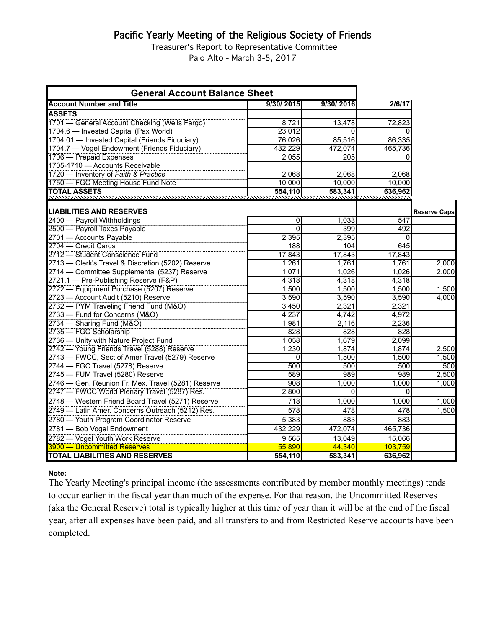# Pacific Yearly Meeting of the Religious Society of Friends

Treasurer's Report to Representative Committee

Palo Alto - March 3-5, 2017

| <b>General Account Balance Sheet</b>               |                |           |              |                     |
|----------------------------------------------------|----------------|-----------|--------------|---------------------|
| <b>Account Number and Title</b>                    | 9/30/2015      | 9/30/2016 | 2/6/17       |                     |
| <b>ASSETS</b>                                      |                |           |              |                     |
| 1701 - General Account Checking (Wells Fargo)      | 8,721          | 13,478    | 72,823       |                     |
| 1704.6 - Invested Capital (Pax World)              | 23,012         | $\Omega$  | <sup>n</sup> |                     |
| 1704.01 - Invested Capital (Friends Fiduciary)     | 76,026         | 85,516    | 86,335       |                     |
| 1704.7 - Vogel Endowment (Friends Fiduciary)       | 432,229        | 472,074   | 465,736      |                     |
| 1706 - Prepaid Expenses                            | 2,055          | 205       | 0            |                     |
| 1705-1710 - Accounts Receivable                    |                |           |              |                     |
| 1720 - Inventory of Faith & Practice               | 2,068          | 2,068     | 2.068        |                     |
| 1750 - FGC Meeting House Fund Note                 | 10,000         | 10,000    | 10.000       |                     |
| <b>TOTAL ASSETS</b>                                | 554,110        | 583,341   | 636,962      |                     |
|                                                    |                |           |              |                     |
| <b>LIABILITIES AND RESERVES</b>                    |                |           |              | <b>Reserve Caps</b> |
| 2400 - Payroll Withholdings                        | 0              | 1,033     | 547          |                     |
| 2500 - Payroll Taxes Payable                       | $\overline{0}$ | 399       | 492          |                     |
| 2701 - Accounts Payable                            | 2,395          | 2,395     | $\Omega$     |                     |
| 2704 - Credit Cards                                | 188            | 104       | 645          |                     |
| 2712 - Student Conscience Fund                     | 17,843         | 17,843    | 17,843       |                     |
| 2713 - Clerk's Travel & Discretion (5202) Reserve  | 1,261          | 1.761     | 1.761        | 2.000               |
| 2714 - Committee Supplemental (5237) Reserve       | 1,071          | 1,026     | 1,026        | 2,000               |
| 2721.1 - Pre-Publishing Reserve (F&P)              | 4,318          | 4,318     | 4,318        |                     |
| 2722 - Equipment Purchase (5207) Reserve           | 1,500          | 1,500     | 1,500        | 1,500               |
| 2723 - Account Audit (5210) Reserve                | 3,590          | 3,590     | 3,590        | 4,000               |
| 2732 - PYM Traveling Friend Fund (M&O)             | 3,450          | 2,321     | 2,321        |                     |
| 2733 - Fund for Concerns (M&O)                     | 4.237          | 4,742     | 4,972        |                     |
| 2734 - Sharing Fund (M&O)                          | 1,981          | 2,116     | 2,236        |                     |
| 2735 - FGC Scholarship                             | 828            | 828       | 828          |                     |
| 2736 - Unity with Nature Project Fund              | 1,058          | 1,679     | 2,099        |                     |
| 2742 - Young Friends Travel (5288) Reserve         | 1,230          | 1,874     | 1,874        | 2,500               |
| 2743 - FWCC, Sect of Amer Travel (5279) Reserve    | ō              | 1,500     | 1,500        | 1,500               |
| 2744 - FGC Travel (5278) Reserve                   | 500            | 500       | 500          | 500                 |
| 2745 - FUM Travel (5280) Reserve                   | 589            | 989       | 989          | 2,500               |
| 2746 - Gen. Reunion Fr. Mex. Travel (5281) Reserve | 908            | 1,000     | 1,000        | 1,000               |
| 2747 - FWCC World Plenary Travel (5287) Res.       | 2,800          | $\Omega$  | $\Omega$     |                     |
| 2748 - Western Friend Board Travel (5271) Reserve  | 718            | 1,000     | 1,000        | 1,000               |
| 2749 - Latin Amer. Concerns Outreach (5212) Res.   | 578            | 478       | 478          | 1,500               |
| 2780 - Youth Program Coordinator Reserve           | 5,383          | 883       | 883          |                     |
| 2781 - Bob Vogel Endowment                         | 432,229        | 472,074   | 465,736      |                     |
| 2782 - Vogel Youth Work Reserve                    | 9,565          | 13,049    | 15,066       |                     |
| 3900 - Uncommitted Reserves                        | 55,890         | 44,340    | 103,759      |                     |
| <b>TOTAL LIABILITIES AND RESERVES</b>              | 554,110        | 583,341   | 636,962      |                     |

**Note:**

The Yearly Meeting's principal income (the assessments contributed by member monthly meetings) tends to occur earlier in the fiscal year than much of the expense. For that reason, the Uncommitted Reserves (aka the General Reserve) total is typically higher at this time of year than it will be at the end of the fiscal year, after all expenses have been paid, and all transfers to and from Restricted Reserve accounts have been completed.